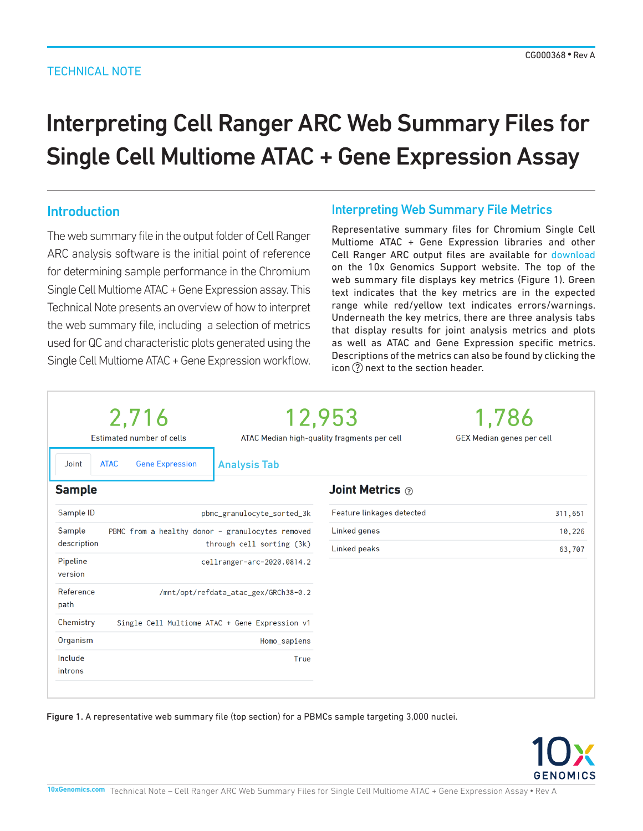## TECHNICAL NOTE

# Interpreting Cell Ranger ARC Web Summary Files for Single Cell Multiome ATAC + Gene Expression Assay

## Introduction

The web summary file in the output folder of Cell Ranger ARC analysis software is the initial point of reference for determining sample performance in the Chromium Single Cell Multiome ATAC + Gene Expression assay. This Technical Note presents an overview of how to interpret the web summary file, including a selection of metrics used for QC and characteristic plots generated using the Single Cell Multiome ATAC + Gene Expression workflow.

## Interpreting Web Summary File Metrics

Representative summary files for Chromium Single Cell Multiome ATAC + Gene Expression libraries and other Cell Ranger ARC output files are available for [download](https://support.10xgenomics.com/single-cell-multiome-atac-gex/datasets) on the 10x Genomics Support website. The top of the web summary file displays key metrics (Figure 1). Green text indicates that the key metrics are in the expected range while red/yellow text indicates errors/warnings. Underneath the key metrics, there are three analysis tabs that display results for joint analysis metrics and plots as well as ATAC and Gene Expression specific metrics. Descriptions of the metrics can also be found by clicking the icon  $(?)$  next to the section header.

| 2,716<br>Estimated number of cells<br><b>ATAC</b><br><b>Gene Expression</b><br>Joint                   | <b>Analysis Tab</b>                  | 12,953<br>ATAC Median high-quality fragments per cell | 1,786<br><b>GEX Median genes per cell</b> |
|--------------------------------------------------------------------------------------------------------|--------------------------------------|-------------------------------------------------------|-------------------------------------------|
| <b>Sample</b>                                                                                          |                                      | Joint Metrics $\circledcirc$                          |                                           |
| Sample ID                                                                                              | pbmc_granulocyte_sorted_3k           | Feature linkages detected                             | 311,651                                   |
| Sample<br>PBMC from a healthy donor - granulocytes removed<br>description<br>through cell sorting (3k) |                                      | Linked genes<br>Linked peaks                          | 10,226<br>63,707                          |
| Pipeline<br>version                                                                                    | cellranger-arc-2020.0814.2           |                                                       |                                           |
| Reference<br>path                                                                                      | /mnt/opt/refdata_atac_gex/GRCh38-0.2 |                                                       |                                           |
| Chemistry<br>Single Cell Multiome ATAC + Gene Expression v1                                            |                                      |                                                       |                                           |
| Organism                                                                                               | Homo_sapiens                         |                                                       |                                           |
| Include<br>introns                                                                                     | True                                 |                                                       |                                           |

Figure 1. A representative web summary file (top section) for a PBMCs sample targeting 3,000 nuclei.

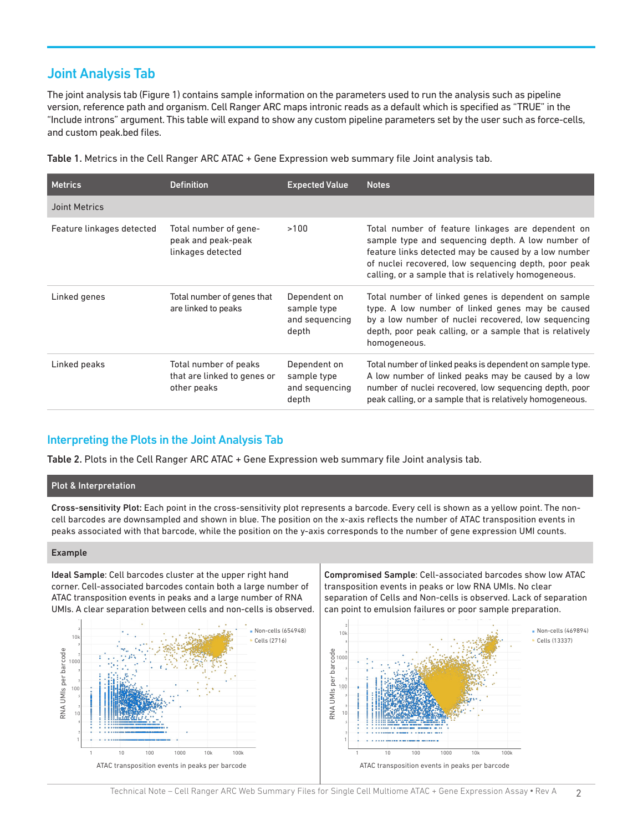## Joint Analysis Tab

The joint analysis tab (Figure 1) contains sample information on the parameters used to run the analysis such as pipeline version, reference path and organism. Cell Ranger ARC maps intronic reads as a default which is specified as "TRUE" in the "Include introns" argument. This table will expand to show any custom pipeline parameters set by the user such as force-cells, and custom peak.bed files.

Table 1. Metrics in the Cell Ranger ARC ATAC + Gene Expression web summary file Joint analysis tab.

| <b>Metrics</b>            | <b>Definition</b>                                                   | <b>Expected Value</b>                                  | <b>Notes</b>                                                                                                                                                                                                                                                                   |
|---------------------------|---------------------------------------------------------------------|--------------------------------------------------------|--------------------------------------------------------------------------------------------------------------------------------------------------------------------------------------------------------------------------------------------------------------------------------|
| Joint Metrics             |                                                                     |                                                        |                                                                                                                                                                                                                                                                                |
| Feature linkages detected | Total number of gene-<br>peak and peak-peak<br>linkages detected    | >100                                                   | Total number of feature linkages are dependent on<br>sample type and sequencing depth. A low number of<br>feature links detected may be caused by a low number<br>of nuclei recovered, low sequencing depth, poor peak<br>calling, or a sample that is relatively homogeneous. |
| Linked genes              | Total number of genes that<br>are linked to peaks                   | Dependent on<br>sample type<br>and sequencing<br>depth | Total number of linked genes is dependent on sample<br>type. A low number of linked genes may be caused<br>by a low number of nuclei recovered, low sequencing<br>depth, poor peak calling, or a sample that is relatively<br>homogeneous.                                     |
| Linked peaks              | Total number of peaks<br>that are linked to genes or<br>other peaks | Dependent on<br>sample type<br>and sequencing<br>depth | Total number of linked peaks is dependent on sample type.<br>A low number of linked peaks may be caused by a low<br>number of nuclei recovered, low sequencing depth, poor<br>peak calling, or a sample that is relatively homogeneous.                                        |

## Interpreting the Plots in the Joint Analysis Tab

Table 2. Plots in the Cell Ranger ARC ATAC + Gene Expression web summary file Joint analysis tab.

## Plot & Interpretation

Cross-sensitivity Plot: Each point in the cross-sensitivity plot represents a barcode. Every cell is shown as a yellow point. The noncell barcodes are downsampled and shown in blue. The position on the x-axis reflects the number of ATAC transposition events in peaks associated with that barcode, while the position on the y-axis corresponds to the number of gene expression UMI counts.

## Example

Ideal Sample: Cell barcodes cluster at the upper right hand corner. Cell-associated barcodes contain both a large number of ATAC transposition events in peaks and a large number of RNA UMIs. A clear separation between cells and non-cells is observed.



Compromised Sample: Cell-associated barcodes show low ATAC transposition events in peaks or low RNA UMIs. No clear separation of Cells and Non-cells is observed. Lack of separation can point to emulsion failures or poor sample preparation.



Non-cells (469894) Cells (13337)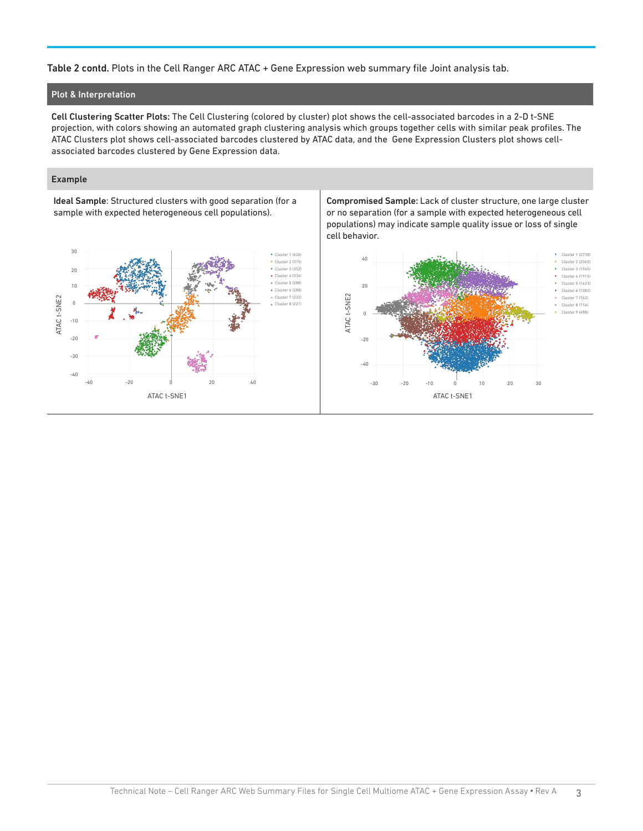## Table 2 contd. Plots in the Cell Ranger ARC ATAC + Gene Expression web summary file Joint analysis tab.

#### Plot & Interpretation

Cell Clustering Scatter Plots: The Cell Clustering (colored by cluster) plot shows the cell-associated barcodes in a 2-D t-SNE projection, with colors showing an automated graph clustering analysis which groups together cells with similar peak profiles. The ATAC Clusters plot shows cell-associated barcodes clustered by ATAC data, and the Gene Expression Clusters plot shows cellassociated barcodes clustered by Gene Expression data.

#### Example

Ideal Sample: Structured clusters with good separation (for a sample with expected heterogeneous cell populations).



Compromised Sample: Lack of cluster structure, one large cluster or no separation (for a sample with expected heterogeneous cell populations) may indicate sample quality issue or loss of single cell behavior.

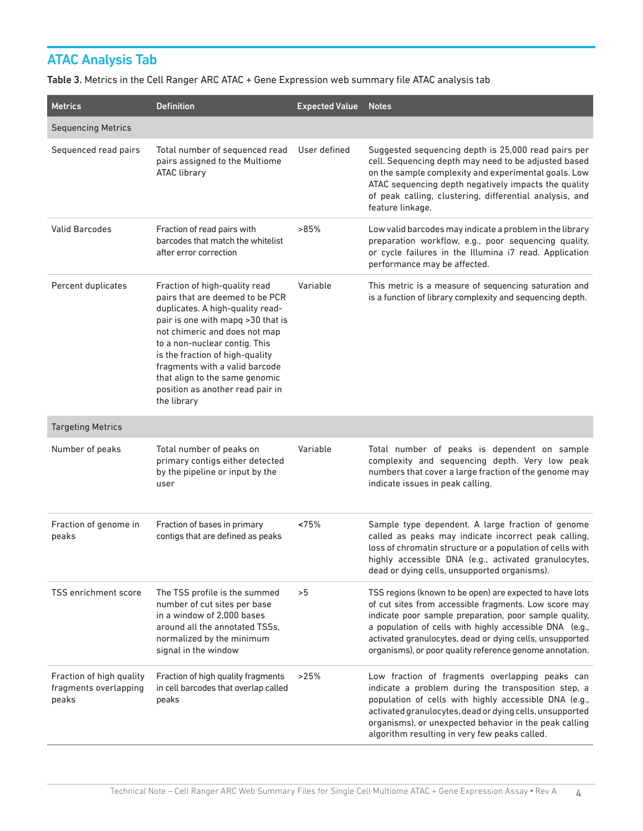# ATAC Analysis Tab

Table 3. Metrics in the Cell Ranger ARC ATAC + Gene Expression web summary file ATAC analysis tab

| <b>Metrics</b>                                             | <b>Definition</b>                                                                                                                                                                                                                                                                                                                                                     | <b>Expected Value</b> | <b>Notes</b>                                                                                                                                                                                                                                                                                                                                                   |
|------------------------------------------------------------|-----------------------------------------------------------------------------------------------------------------------------------------------------------------------------------------------------------------------------------------------------------------------------------------------------------------------------------------------------------------------|-----------------------|----------------------------------------------------------------------------------------------------------------------------------------------------------------------------------------------------------------------------------------------------------------------------------------------------------------------------------------------------------------|
| <b>Sequencing Metrics</b>                                  |                                                                                                                                                                                                                                                                                                                                                                       |                       |                                                                                                                                                                                                                                                                                                                                                                |
| Sequenced read pairs                                       | Total number of sequenced read<br>pairs assigned to the Multiome<br><b>ATAC library</b>                                                                                                                                                                                                                                                                               | User defined          | Suggested sequencing depth is 25,000 read pairs per<br>cell. Sequencing depth may need to be adjusted based<br>on the sample complexity and experimental goals. Low<br>ATAC sequencing depth negatively impacts the quality<br>of peak calling, clustering, differential analysis, and<br>feature linkage.                                                     |
| <b>Valid Barcodes</b>                                      | Fraction of read pairs with<br>barcodes that match the whitelist<br>after error correction                                                                                                                                                                                                                                                                            | >85%                  | Low valid barcodes may indicate a problem in the library<br>preparation workflow, e.g., poor sequencing quality,<br>or cycle failures in the Illumina i7 read. Application<br>performance may be affected.                                                                                                                                                     |
| Percent duplicates                                         | Fraction of high-quality read<br>pairs that are deemed to be PCR<br>duplicates. A high-quality read-<br>pair is one with mapq >30 that is<br>not chimeric and does not map<br>to a non-nuclear contig. This<br>is the fraction of high-quality<br>fragments with a valid barcode<br>that align to the same genomic<br>position as another read pair in<br>the library | Variable              | This metric is a measure of sequencing saturation and<br>is a function of library complexity and sequencing depth.                                                                                                                                                                                                                                             |
| <b>Targeting Metrics</b>                                   |                                                                                                                                                                                                                                                                                                                                                                       |                       |                                                                                                                                                                                                                                                                                                                                                                |
| Number of peaks                                            | Total number of peaks on<br>primary contigs either detected<br>by the pipeline or input by the<br>user                                                                                                                                                                                                                                                                | Variable              | Total number of peaks is dependent on sample<br>complexity and sequencing depth. Very low peak<br>numbers that cover a large fraction of the genome may<br>indicate issues in peak calling.                                                                                                                                                                    |
| Fraction of genome in<br>peaks                             | Fraction of bases in primary<br>contigs that are defined as peaks                                                                                                                                                                                                                                                                                                     | <75%                  | Sample type dependent. A large fraction of genome<br>called as peaks may indicate incorrect peak calling,<br>loss of chromatin structure or a population of cells with<br>highly accessible DNA (e.g., activated granulocytes,<br>dead or dying cells, unsupported organisms).                                                                                 |
| <b>TSS enrichment score</b>                                | The TSS profile is the summed<br>number of cut sites per base<br>in a window of 2,000 bases<br>around all the annotated TSSs,<br>normalized by the minimum<br>signal in the window                                                                                                                                                                                    | >5                    | TSS regions (known to be open) are expected to have lots<br>of cut sites from accessible fragments. Low score may<br>indicate poor sample preparation, poor sample quality,<br>a population of cells with highly accessible DNA (e.g.,<br>activated granulocytes, dead or dying cells, unsupported<br>organisms), or poor quality reference genome annotation. |
| Fraction of high quality<br>fragments overlapping<br>peaks | Fraction of high quality fragments<br>in cell barcodes that overlap called<br>peaks                                                                                                                                                                                                                                                                                   | >25%                  | Low fraction of fragments overlapping peaks can<br>indicate a problem during the transposition step, a<br>population of cells with highly accessible DNA (e.g.,<br>activated granulocytes, dead or dying cells, unsupported<br>organisms), or unexpected behavior in the peak calling<br>algorithm resulting in very few peaks called.                         |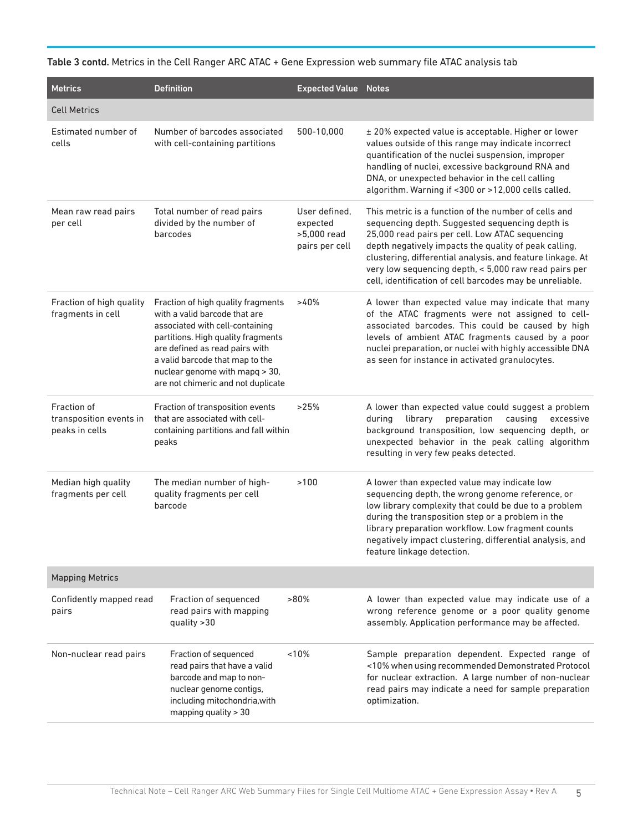| Table 3 contd. Metrics in the Cell Ranger ARC ATAC + Gene Expression web summary file ATAC analysis tab |  |  |  |  |  |  |  |
|---------------------------------------------------------------------------------------------------------|--|--|--|--|--|--|--|
|---------------------------------------------------------------------------------------------------------|--|--|--|--|--|--|--|

| <b>Metrics</b>                                           | <b>Definition</b>                                                                                                                                                                                                                                                                         | <b>Expected Value Notes</b>                                |                                                                                                                                                                                                                                                                                                                                                                                                        |  |
|----------------------------------------------------------|-------------------------------------------------------------------------------------------------------------------------------------------------------------------------------------------------------------------------------------------------------------------------------------------|------------------------------------------------------------|--------------------------------------------------------------------------------------------------------------------------------------------------------------------------------------------------------------------------------------------------------------------------------------------------------------------------------------------------------------------------------------------------------|--|
| <b>Cell Metrics</b>                                      |                                                                                                                                                                                                                                                                                           |                                                            |                                                                                                                                                                                                                                                                                                                                                                                                        |  |
| Estimated number of<br>cells                             | Number of barcodes associated<br>with cell-containing partitions                                                                                                                                                                                                                          | 500-10.000                                                 | ± 20% expected value is acceptable. Higher or lower<br>values outside of this range may indicate incorrect<br>quantification of the nuclei suspension, improper<br>handling of nuclei, excessive background RNA and<br>DNA, or unexpected behavior in the cell calling<br>algorithm. Warning if <300 or >12,000 cells called.                                                                          |  |
| Mean raw read pairs<br>per cell                          | Total number of read pairs<br>divided by the number of<br>barcodes                                                                                                                                                                                                                        | User defined,<br>expected<br>>5,000 read<br>pairs per cell | This metric is a function of the number of cells and<br>sequencing depth. Suggested sequencing depth is<br>25,000 read pairs per cell. Low ATAC sequencing<br>depth negatively impacts the quality of peak calling,<br>clustering, differential analysis, and feature linkage. At<br>very low sequencing depth, < 5,000 raw read pairs per<br>cell, identification of cell barcodes may be unreliable. |  |
| Fraction of high quality<br>fragments in cell            | Fraction of high quality fragments<br>with a valid barcode that are<br>associated with cell-containing<br>partitions. High quality fragments<br>are defined as read pairs with<br>a valid barcode that map to the<br>nuclear genome with mapq > 30,<br>are not chimeric and not duplicate | >40%                                                       | A lower than expected value may indicate that many<br>of the ATAC fragments were not assigned to cell-<br>associated barcodes. This could be caused by high<br>levels of ambient ATAC fragments caused by a poor<br>nuclei preparation, or nuclei with highly accessible DNA<br>as seen for instance in activated granulocytes.                                                                        |  |
| Fraction of<br>transposition events in<br>peaks in cells | Fraction of transposition events<br>that are associated with cell-<br>containing partitions and fall within<br>peaks                                                                                                                                                                      | >25%                                                       | A lower than expected value could suggest a problem<br>during<br>library<br>preparation<br>causing<br>excessive<br>background transposition, low sequencing depth, or<br>unexpected behavior in the peak calling algorithm<br>resulting in very few peaks detected.                                                                                                                                    |  |
| Median high quality<br>fragments per cell                | The median number of high-<br>quality fragments per cell<br>barcode                                                                                                                                                                                                                       | >100                                                       | A lower than expected value may indicate low<br>sequencing depth, the wrong genome reference, or<br>low library complexity that could be due to a problem<br>during the transposition step or a problem in the<br>library preparation workflow. Low fragment counts<br>negatively impact clustering, differential analysis, and<br>feature linkage detection.                                          |  |
| <b>Mapping Metrics</b>                                   |                                                                                                                                                                                                                                                                                           |                                                            |                                                                                                                                                                                                                                                                                                                                                                                                        |  |
| Confidently mapped read<br>pairs                         | Fraction of sequenced<br>read pairs with mapping<br>quality $>30$                                                                                                                                                                                                                         | $>80\%$                                                    | A lower than expected value may indicate use of a<br>wrong reference genome or a poor quality genome<br>assembly. Application performance may be affected.                                                                                                                                                                                                                                             |  |
| Non-nuclear read pairs                                   | Fraction of sequenced<br>read pairs that have a valid<br>barcode and map to non-<br>nuclear genome contigs,<br>including mitochondria, with<br>mapping quality > 30                                                                                                                       | ~10%                                                       | Sample preparation dependent. Expected range of<br><10% when using recommended Demonstrated Protocol<br>for nuclear extraction. A large number of non-nuclear<br>read pairs may indicate a need for sample preparation<br>optimization.                                                                                                                                                                |  |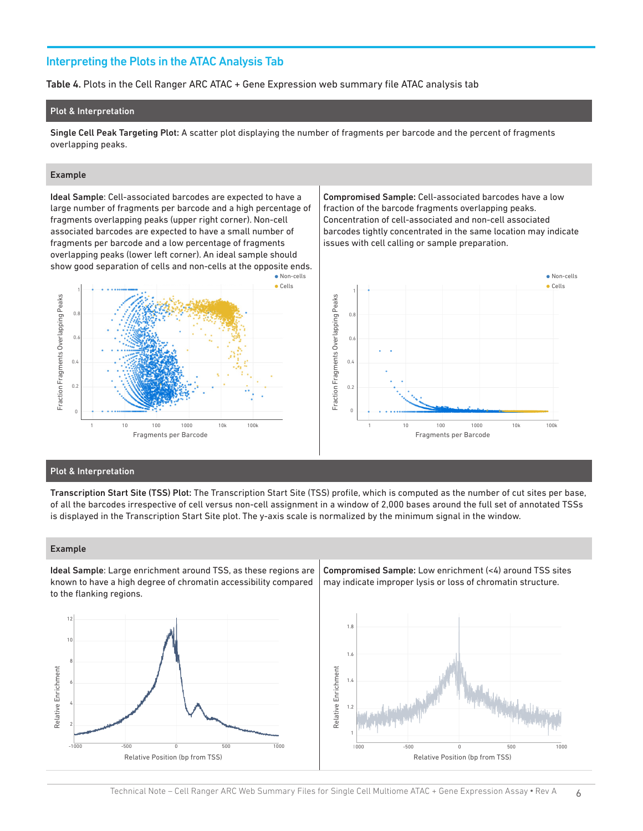## Interpreting the Plots in the ATAC Analysis Tab

Table 4. Plots in the Cell Ranger ARC ATAC + Gene Expression web summary file ATAC analysis tab

#### Plot & Interpretation

Single Cell Peak Targeting Plot: A scatter plot displaying the number of fragments per barcode and the percent of fragments overlapping peaks.

> · Non-cells Cells

#### Example

Fraction Fragments Overlapping Peaks

Fraction Fragments Overlapping Peaks

Ideal Sample: Cell-associated barcodes are expected to have a large number of fragments per barcode and a high percentage of fragments overlapping peaks (upper right corner). Non-cell associated barcodes are expected to have a small number of fragments per barcode and a low percentage of fragments overlapping peaks (lower left corner). An ideal sample should show good separation of cells and non-cells at the opposite ends.

Compromised Sample: Cell-associated barcodes have a low fraction of the barcode fragments overlapping peaks. Concentration of cell-associated and non-cell associated barcodes tightly concentrated in the same location may indicate issues with cell calling or sample preparation.



#### Plot & Interpretation

0

0.4

0.2

 $\overline{0}$ .

1

 $\overline{0}$ .

Transcription Start Site (TSS) Plot: The Transcription Start Site (TSS) profile, which is computed as the number of cut sites per base, of all the barcodes irrespective of cell versus non-cell assignment in a window of 2,000 bases around the full set of annotated TSSs is displayed in the Transcription Start Site plot. The y-axis scale is normalized by the minimum signal in the window.

#### Example

Ideal Sample: Large enrichment around TSS, as these regions are known to have a high degree of chromatin accessibility compared to the flanking regions.

Fragments per Barcode 1 10 100 1000 10k 100k



Compromised Sample: Low enrichment (<4) around TSS sites may indicate improper lysis or loss of chromatin structure.

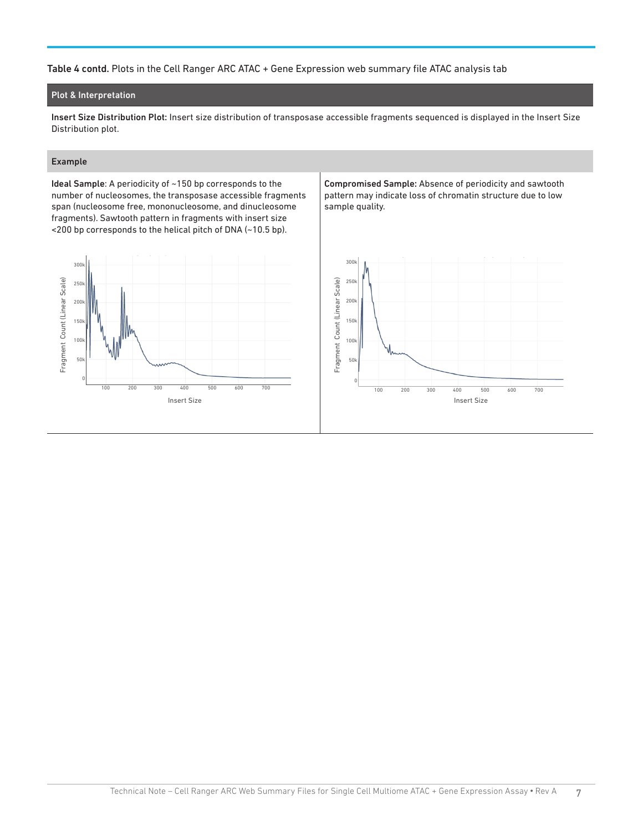## Table 4 contd. Plots in the Cell Ranger ARC ATAC + Gene Expression web summary file ATAC analysis tab

## Plot & Interpretation

Insert Size Distribution Plot: Insert size distribution of transposase accessible fragments sequenced is displayed in the Insert Size Distribution plot.

## Example

Ideal Sample: A periodicity of ~150 bp corresponds to the number of nucleosomes, the transposase accessible fragments span (nucleosome free, mononucleosome, and dinucleosome fragments). Sawtooth pattern in fragments with insert size <200 bp corresponds to the helical pitch of DNA (~10.5 bp).



Compromised Sample: Absence of periodicity and sawtooth pattern may indicate loss of chromatin structure due to low sample quality.

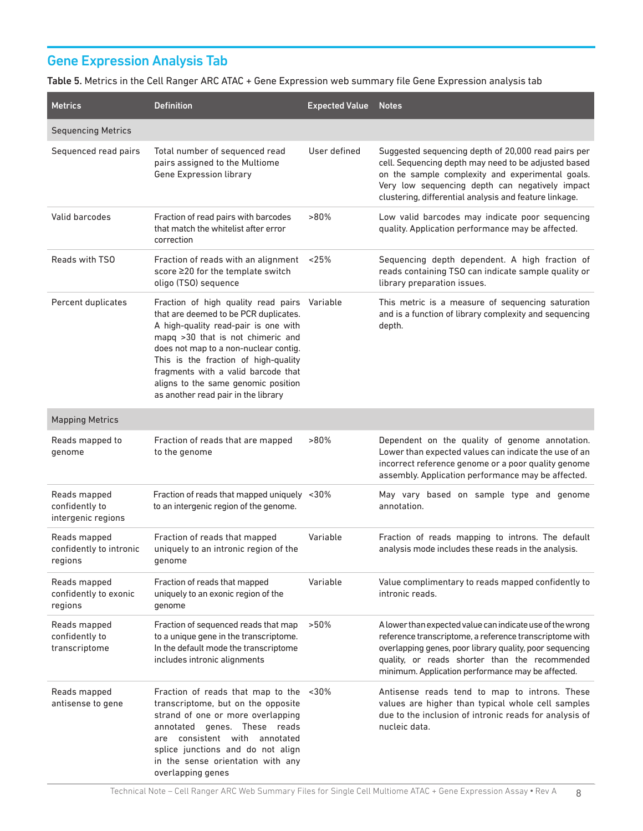# Gene Expression Analysis Tab

Table 5. Metrics in the Cell Ranger ARC ATAC + Gene Expression web summary file Gene Expression analysis tab

| <b>Metrics</b>                                       | <b>Definition</b>                                                                                                                                                                                                                                                                                                                                                        | <b>Expected Value</b> | <b>Notes</b>                                                                                                                                                                                                                                                                            |
|------------------------------------------------------|--------------------------------------------------------------------------------------------------------------------------------------------------------------------------------------------------------------------------------------------------------------------------------------------------------------------------------------------------------------------------|-----------------------|-----------------------------------------------------------------------------------------------------------------------------------------------------------------------------------------------------------------------------------------------------------------------------------------|
| <b>Sequencing Metrics</b>                            |                                                                                                                                                                                                                                                                                                                                                                          |                       |                                                                                                                                                                                                                                                                                         |
| Sequenced read pairs                                 | Total number of sequenced read<br>pairs assigned to the Multiome<br>Gene Expression library                                                                                                                                                                                                                                                                              | User defined          | Suggested sequencing depth of 20,000 read pairs per<br>cell. Sequencing depth may need to be adjusted based<br>on the sample complexity and experimental goals.<br>Very low sequencing depth can negatively impact<br>clustering, differential analysis and feature linkage.            |
| Valid barcodes                                       | Fraction of read pairs with barcodes<br>that match the whitelist after error<br>correction                                                                                                                                                                                                                                                                               | $>80\%$               | Low valid barcodes may indicate poor sequencing<br>quality. Application performance may be affected.                                                                                                                                                                                    |
| Reads with TSO                                       | Fraction of reads with an alignment<br>score ≥20 for the template switch<br>oligo (TSO) sequence                                                                                                                                                                                                                                                                         | ~125%                 | Sequencing depth dependent. A high fraction of<br>reads containing TSO can indicate sample quality or<br>library preparation issues.                                                                                                                                                    |
| Percent duplicates                                   | Fraction of high quality read pairs Variable<br>that are deemed to be PCR duplicates.<br>A high-quality read-pair is one with<br>mapq >30 that is not chimeric and<br>does not map to a non-nuclear contig.<br>This is the fraction of high-quality<br>fragments with a valid barcode that<br>aligns to the same genomic position<br>as another read pair in the library |                       | This metric is a measure of sequencing saturation<br>and is a function of library complexity and sequencing<br>depth.                                                                                                                                                                   |
| <b>Mapping Metrics</b>                               |                                                                                                                                                                                                                                                                                                                                                                          |                       |                                                                                                                                                                                                                                                                                         |
| Reads mapped to<br>genome                            | Fraction of reads that are mapped<br>to the genome                                                                                                                                                                                                                                                                                                                       | $>80\%$               | Dependent on the quality of genome annotation.<br>Lower than expected values can indicate the use of an<br>incorrect reference genome or a poor quality genome<br>assembly. Application performance may be affected.                                                                    |
| Reads mapped<br>confidently to<br>intergenic regions | Fraction of reads that mapped uniquely <30%<br>to an intergenic region of the genome.                                                                                                                                                                                                                                                                                    |                       | May vary based on sample type and genome<br>annotation.                                                                                                                                                                                                                                 |
| Reads mapped<br>confidently to intronic<br>regions   | Fraction of reads that mapped<br>uniquely to an intronic region of the<br>genome                                                                                                                                                                                                                                                                                         | Variable              | Fraction of reads mapping to introns. The default<br>analysis mode includes these reads in the analysis.                                                                                                                                                                                |
| Reads mapped<br>confidently to exonic<br>regions     | Fraction of reads that mapped<br>uniquely to an exonic region of the<br>genome                                                                                                                                                                                                                                                                                           | Variable              | Value complimentary to reads mapped confidently to<br>intronic reads.                                                                                                                                                                                                                   |
| Reads mapped<br>confidently to<br>transcriptome      | Fraction of sequenced reads that map<br>to a unique gene in the transcriptome.<br>In the default mode the transcriptome<br>includes intronic alignments                                                                                                                                                                                                                  | >50%                  | A lower than expected value can indicate use of the wrong<br>reference transcriptome, a reference transcriptome with<br>overlapping genes, poor library quality, poor sequencing<br>quality, or reads shorter than the recommended<br>minimum. Application performance may be affected. |
| Reads mapped<br>antisense to gene                    | Fraction of reads that map to the <30%<br>transcriptome, but on the opposite<br>strand of one or more overlapping<br>annotated genes. These reads<br>are consistent with annotated<br>splice junctions and do not align<br>in the sense orientation with any<br>overlapping genes                                                                                        |                       | Antisense reads tend to map to introns. These<br>values are higher than typical whole cell samples<br>due to the inclusion of intronic reads for analysis of<br>nucleic data.                                                                                                           |